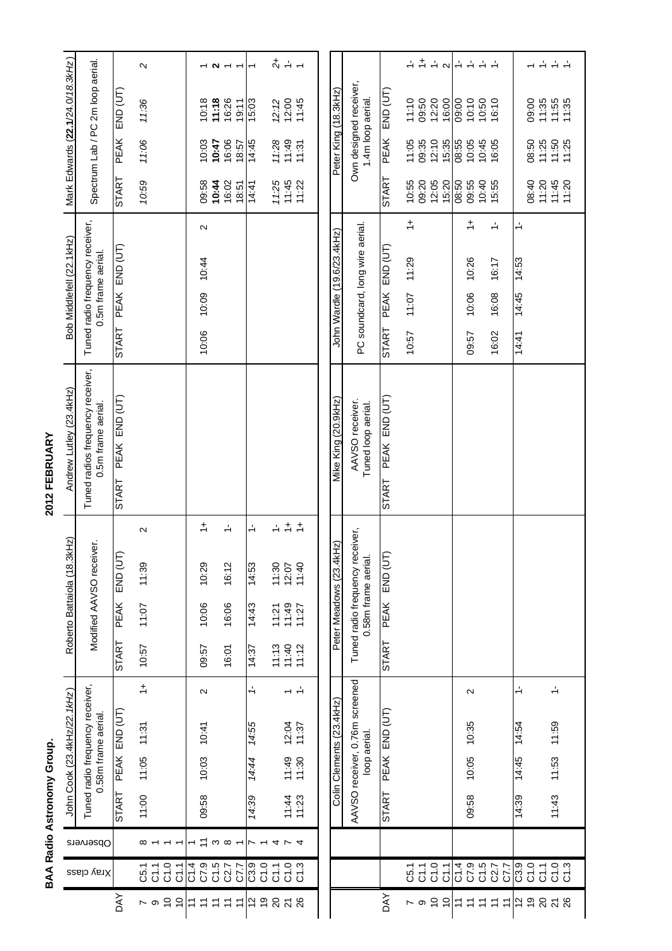| ſ |      |
|---|------|
|   |      |
|   |      |
|   | l    |
|   |      |
|   |      |
|   |      |
|   |      |
|   | ׇ֚֬֡ |
|   | j    |
|   |      |
|   |      |
| ٠ |      |
|   |      |
|   |      |
|   |      |
|   |      |
|   |      |
|   |      |
|   |      |

|                                |                                              |               | BAA Radio Astronomy Group. |                                                       |                    |                   |                         |                               |                                 |                   | 2012 FEBRUARY                                          |                                                       |                         |                         |                                  |                                                    |
|--------------------------------|----------------------------------------------|---------------|----------------------------|-------------------------------------------------------|--------------------|-------------------|-------------------------|-------------------------------|---------------------------------|-------------------|--------------------------------------------------------|-------------------------------------------------------|-------------------------|-------------------------|----------------------------------|----------------------------------------------------|
|                                |                                              |               |                            | John Cook (23.4kHz/22.1kHz)                           |                    |                   |                         | Roberto Battaiola (18.        | .3kHz                           |                   | Andrew Lutley (23.4kHz)                                | Bob Middlefell (22.1kHz)                              |                         |                         | Mark Edwards (22.1/24.0/18.3kHz) |                                                    |
|                                | Xray class                                   | Observers     |                            | Tuned radio frequency receiver,<br>0.58m frame aerial |                    |                   |                         |                               | Modified AAVSO receiver.        |                   | Tuned radios frequency receiver,<br>0.5m frame aerial. | Tuned radio frequency receiver,<br>0.5m frame aerial. |                         |                         | Spectrum Lab / PC 2m loop aerial |                                                    |
| <b>AYO</b>                     |                                              |               | <b>START</b>               |                                                       | PEAK END (UT)      |                   | START                   | PEAK                          | E<br>n) ang                     |                   | PEAK END (UT)<br><b>START</b>                          | PEAK END (UT)<br><b>START</b>                         | <b>START</b>            | PEAK                    | END (UT)                         |                                                    |
| $\sim$ 0 $\approx$             | $\begin{array}{l} 7.797 \\ 5555 \end{array}$ | ∞             | 11:00                      | 11:05                                                 | 11:31              | $\div$            | 10:57                   | 11:07                         | 11:39                           | $\mathbf{\Omega}$ |                                                        |                                                       | 10:59                   | 11:06                   | 11:36                            | $\sim$                                             |
| $\tilde{c}$                    |                                              |               |                            |                                                       |                    |                   |                         |                               |                                 |                   |                                                        |                                                       |                         |                         |                                  |                                                    |
| $\Xi \simeq$<br>$\overline{r}$ |                                              | $\tilde{+}$   | 09:58                      | 10:03                                                 | 10:41              | $\sim$            | 09:57                   | 10:06                         | 10:29                           | $\div$            |                                                        | $\mathbf{\Omega}$<br>10:09 10:44<br>10:06             | 09:58                   | 10:03                   | 10:18                            |                                                    |
| ココ                             | <br>  a o in n<br>  G G G G G                | $\infty$<br>S |                            |                                                       |                    |                   | 16:01                   | 16:06                         | 16:12                           | $\div$            |                                                        |                                                       | 10:44<br>16:02<br>18:51 | 16:06<br>10:47<br>18:57 | 11:18<br>16:26<br>19:11          | $ \sim$ $-$                                        |
|                                |                                              | Ľ             | 14:39                      | 14:44                                                 | 14:55              | ÷                 | 14:37                   | 14:43                         | 14:53                           | $\div$            |                                                        |                                                       | 14:41                   | 14:45                   | 15:03                            | $\overline{ }$                                     |
| 29238                          | a<br>conco<br>conco                          |               |                            |                                                       |                    |                   |                         |                               |                                 |                   |                                                        |                                                       | 11:25                   | 11:28                   |                                  |                                                    |
|                                |                                              | コアム           |                            |                                                       |                    |                   |                         |                               |                                 | $\div$ $\div$     |                                                        |                                                       | 11:45                   | 11:49                   |                                  | $\frac{1}{2}$ + +                                  |
|                                |                                              |               | 11:33                      | $11:49$<br>11:30                                      | $12:04$<br>$11:37$ |                   | 11:13<br>11:40<br>11:12 | $11:21$<br>$11:49$<br>$11:27$ | 11:30<br>12:07<br>11:40         | $\div$            |                                                        |                                                       | 11:22                   | 11:31                   | $72.72$<br>$12.00$<br>$11.45$    |                                                    |
|                                |                                              |               |                            |                                                       |                    |                   |                         |                               |                                 |                   |                                                        |                                                       |                         |                         |                                  |                                                    |
|                                |                                              |               |                            | Colin Clements (23.4kHz)                              |                    |                   |                         | Peter Meadows (23.4           | 4kHz)                           |                   | Mike King (20.9kHz)                                    | John Wardle (19.6/23.4kHz)                            |                         | Peter King (18.3kHz)    |                                  |                                                    |
|                                |                                              |               |                            | AAVSO receiver, 0.76m screened                        | loop aerial.       |                   |                         | Tuned radio frequency         | eceiver,<br>0.58m frame aerial. |                   | AAVSO receiver.<br>Tuned loop aerial.                  | PC soundcard, long wire aerial.                       |                         | 1.4m loop aerial.       | Own designed receiver,           |                                                    |
| <b>AYO</b>                     |                                              |               | <b>START</b>               |                                                       | PEAK END (UT)      |                   | <b>START</b>            | <b>PEAK</b>                   | E<br>n) ang                     |                   | PEAK END (UT)<br>START <sup>-</sup>                    | PEAK END (UT)<br><b>START</b>                         | <b>START</b>            | <b>PEAK</b>             | END (UT)                         |                                                    |
|                                |                                              |               |                            |                                                       |                    |                   |                         |                               |                                 |                   |                                                        | $\div$<br>11:29<br>10:07<br>10:57                     | 10:55                   | 11:05                   | 11:10                            | $\div$                                             |
|                                |                                              |               |                            |                                                       |                    |                   |                         |                               |                                 |                   |                                                        |                                                       | 09:20                   | 09:35                   | 09:50                            | $\div$                                             |
| $\sim$ $\circ$ $\sim$ $\sim$   | $\begin{array}{l} 7.797 \\ 5555 \end{array}$ |               |                            |                                                       |                    |                   |                         |                               |                                 |                   |                                                        |                                                       | 12:05<br>15:20          | 12:10<br>15:35          | 12:20<br>16:00                   | $\overset{\centerdot}{\leftarrow}$<br>$\sim$       |
| 77                             |                                              |               | 09:58                      | 10:05                                                 | 10:35              | $\mathbf{\Omega}$ |                         |                               |                                 |                   |                                                        | $\div$<br>10:26<br>10:06<br>09:57                     | 08:50<br>09:55          | 08:55<br>10:05          | 09:00<br>10:10                   | $\frac{1}{2}$<br>$\frac{1}{\sqrt{2}}$              |
|                                |                                              |               |                            |                                                       |                    |                   |                         |                               |                                 |                   |                                                        |                                                       | 10:40                   | 10:45                   | 10:50                            | $\frac{1}{\sqrt{2}}$                               |
| 77<br>$\tilde{t}$              | 1<br>005<br>007<br>007                       |               |                            |                                                       |                    |                   |                         |                               |                                 |                   |                                                        | $\div$<br>16:17<br>16:08<br>16:02                     | 15:55                   | 16:05                   | 16:10                            | $\frac{1}{2}$                                      |
|                                |                                              |               | 14:39                      | 14:45                                                 | 14:54              | $\div$            |                         |                               |                                 |                   |                                                        | $\div$<br>14:53<br>14:45<br>14:41                     |                         |                         |                                  |                                                    |
|                                |                                              |               |                            |                                                       |                    |                   |                         |                               |                                 |                   |                                                        |                                                       | 08:40                   | 08:50                   | 09:00                            |                                                    |
| 29838                          | ្ត្រី<br>ខេត្តក្តី<br>ខេត្តក្តី              |               | 11:43                      | 11:53                                                 | 11:59              | $\frac{1}{2}$     |                         |                               |                                 |                   |                                                        |                                                       | 11:20                   | 11:25                   | $7.35$<br>$7.35$<br>$7.35$       | $\stackrel{\text{!}}{\leftarrow}$<br>$\frac{1}{2}$ |
|                                |                                              |               |                            |                                                       |                    |                   |                         |                               |                                 |                   |                                                        |                                                       | 11:45<br>11:20          | 11:50<br>11:25          |                                  | $\frac{1}{2}$                                      |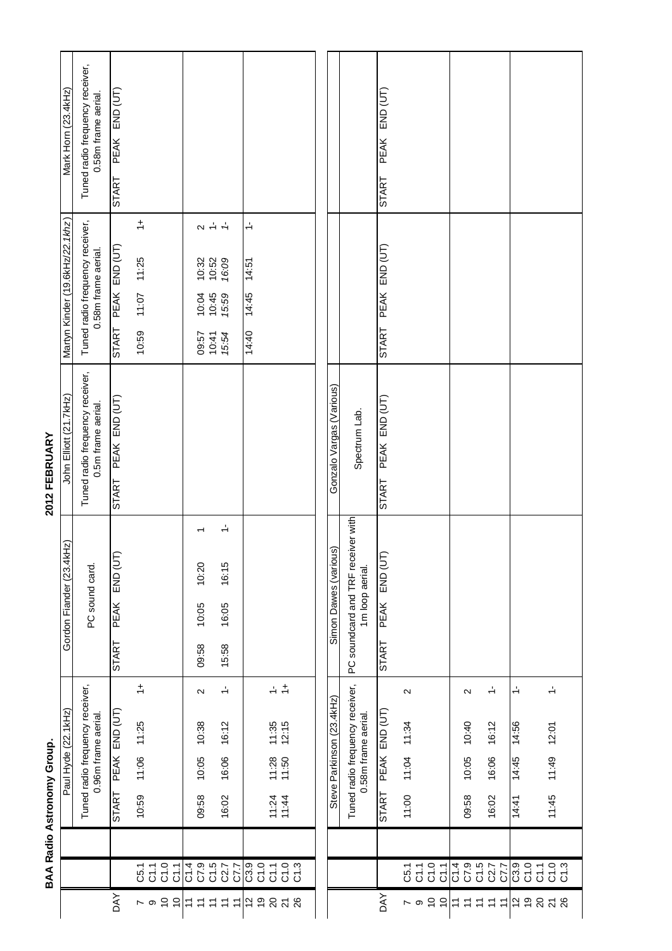|                            | Mark Horn (23.4kHz)             | Tuned radio frequency receiver,<br>0.58m frame aerial. | $END$ $(UT)$<br><b>PEAK</b><br><b>START</b> |                                       |                                              |                                                                          |                                                        |                                   |                                                                                 |                                         |                           |                                    |                     | END (UT)<br><b>PEAK</b><br>START |                                |          |                                                        |        |                                   |                                                        |                                   |                                     |  |
|----------------------------|---------------------------------|--------------------------------------------------------|---------------------------------------------|---------------------------------------|----------------------------------------------|--------------------------------------------------------------------------|--------------------------------------------------------|-----------------------------------|---------------------------------------------------------------------------------|-----------------------------------------|---------------------------|------------------------------------|---------------------|----------------------------------|--------------------------------|----------|--------------------------------------------------------|--------|-----------------------------------|--------------------------------------------------------|-----------------------------------|-------------------------------------|--|
|                            | Martyn Kinder (19.6kHz/22.1khz) | Tuned radio frequency receiver,<br>0.58m frame aerial. | PEAK END (UT)<br><b>START</b>               | $\frac{+}{ }$<br>11:07 11:25<br>10:59 |                                              | $\alpha + 1$<br>$10:32$<br>$10:52$<br>$16:09$<br>10:45<br>10:04<br>09:57 | 15:59<br>10:41<br>15:54                                | $\div$<br>14:51<br>14:45<br>14:40 |                                                                                 |                                         |                           |                                    |                     | PEAK END (UT)<br>START           |                                |          |                                                        |        |                                   |                                                        |                                   |                                     |  |
| 2012 FEBRUARY              | John Elliott (21.7kHz)          | Tuned radio frequency receiver,<br>0.5m frame aerial.  | START PEAK END (UT)                         |                                       |                                              |                                                                          |                                                        |                                   |                                                                                 |                                         | Gonzalo Vargas (Various)  |                                    | Spectrum Lab.       | PEAK END (UT)<br>START           |                                |          |                                                        |        |                                   |                                                        |                                   |                                     |  |
|                            | 4kHz)<br>Gordon Fiander (23.    | PC sound card.                                         | Ē<br>n) ang<br><b>PEAK</b><br>START         |                                       |                                              | 10:20<br>10:05<br>09:58                                                  | $\div$<br>16:15<br>16:05<br>15:58                      |                                   |                                                                                 |                                         | Snc<br>Simon Dawes (vario | PC soundcard and TRF receiver with | 1m loop aerial.     | END (UT)<br>PEAK<br><b>START</b> |                                |          |                                                        |        |                                   |                                                        |                                   |                                     |  |
| BAA Radio Astronomy Group. | Paul Hyde (22.1kHz)             | Tuned radio frequency receiver,<br>0.96m frame aerial. | PEAK END (UT)<br><b>START</b>               | $\div$<br>11:25<br>11:06<br>10:59     |                                              | $\sim$<br>10:38<br>10:05<br>09:58                                        | $\stackrel{1}{\rightarrow}$<br>16:12<br>16:06<br>16:02 |                                   | $\div$ $\div$<br>$11:35$<br>$12:15$<br>$11:28$<br>$11:50$<br>$11:24$<br>$11:44$ |                                         | Steve Parkinson (23.4kHz) | Tuned radio frequency receiver,    | 0.58m frame aerial. | PEAK END (UT)<br>START           | $\sim$<br>11:04 11:34<br>11:00 |          |                                                        |        | $\sim$<br>10:40<br>10:05<br>09:58 | $\stackrel{1}{\rightarrow}$<br>16:12<br>16:06<br>16:02 | $\div$<br>14:56<br>14:45<br>14:41 | $\div$<br>12:01<br>11:49<br>11:45   |  |
|                            |                                 |                                                        | <b>AY</b>                                   |                                       | $\begin{array}{l} 7.797 \\ 5555 \end{array}$ |                                                                          | 014<br>015<br>015<br>017<br>017                        |                                   |                                                                                 | ្រុ <sub>ិ ក</sub> ុំខ្លួ<br>ខ្លួបក្នុង |                           |                                    |                     |                                  |                                | $\sim$ 0 | $\begin{array}{l} 7.797 \\ 5.797 \\ 6.757 \end{array}$ |        |                                   |                                                        |                                   | <br> នី ១ ក ១ នី<br> បី ប៊ី ប៊ី ប៊ី |  |
|                            |                                 |                                                        |                                             |                                       | 5 9 0 7                                      | ココココ                                                                     | $\overleftarrow{\cdot}$                                | $\frac{1}{2}$                     |                                                                                 | <u>ន ដ</u> ន                            |                           |                                    |                     | <b>AVO</b>                       |                                |          | $\tilde{\sigma}$                                       | $\div$ |                                   | $\begin{array}{c} z \neq z \neq z \end{array}$         | ်ငံ ခ                             | <u>ន ដ</u> ន                        |  |

2012 FEBRUARY

**BAA Radio Astronomy Group.**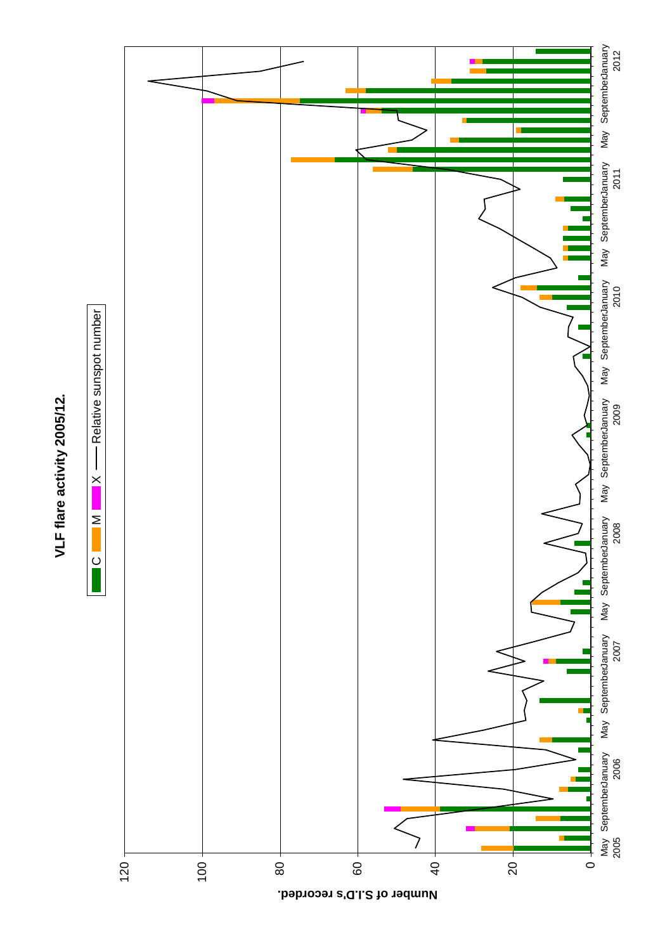

VLF flare activity 2005/12. **VLF flare activity 2005/12.**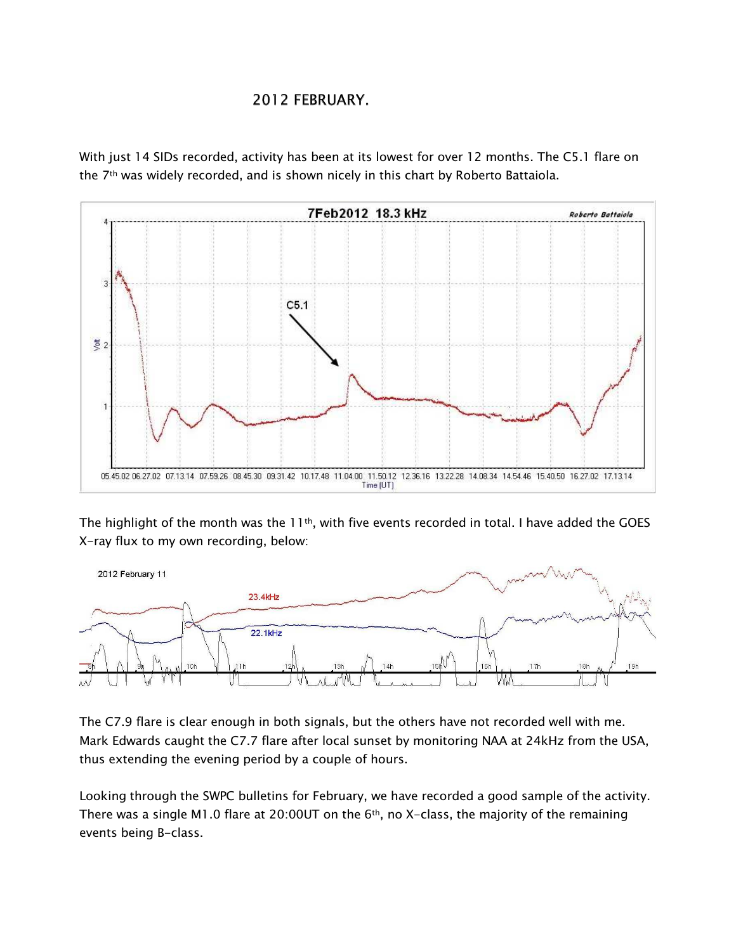## 2012 FEBRUARY.

With just 14 SIDs recorded, activity has been at its lowest for over 12 months. The C5.1 flare on the 7<sup>th</sup> was widely recorded, and is shown nicely in this chart by Roberto Battaiola.



The highlight of the month was the 11<sup>th</sup>, with five events recorded in total. I have added the GOES X-ray flux to my own recording, below:



The C7.9 flare is clear enough in both signals, but the others have not recorded well with me. Mark Edwards caught the C7.7 flare after local sunset by monitoring NAA at 24kHz from the USA, thus extending the evening period by a couple of hours.

Looking through the SWPC bulletins for February, we have recorded a good sample of the activity. There was a single M1.0 flare at 20:00UT on the  $6<sup>th</sup>$ , no X-class, the majority of the remaining events being B-class.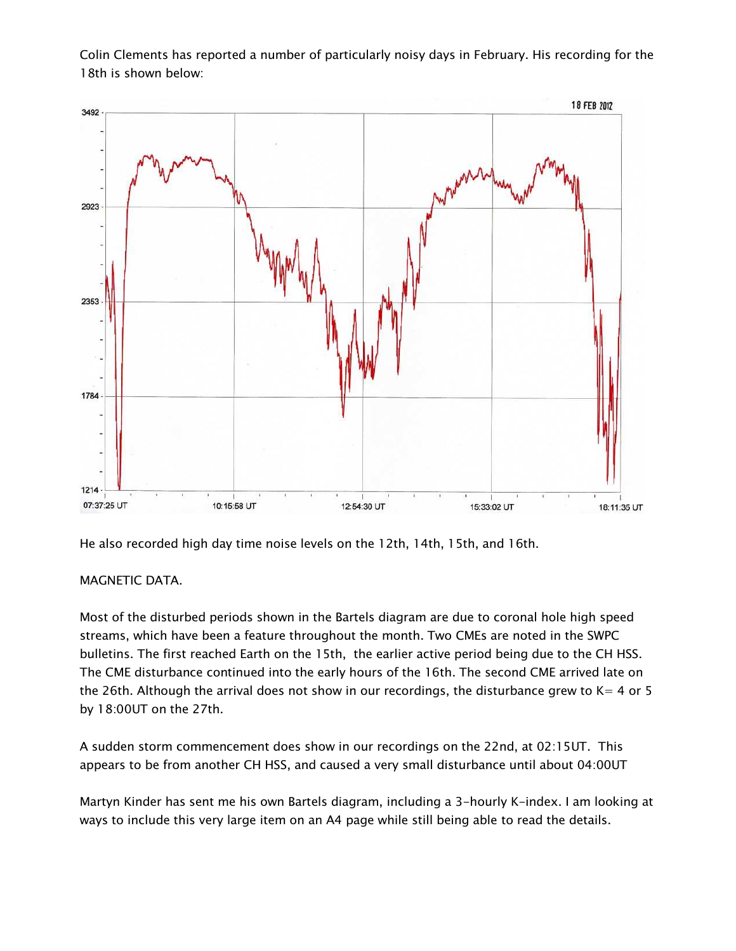Colin Clements has reported a number of particularly noisy days in February. His recording for the 18th is shown below:



He also recorded high day time noise levels on the 12th, 14th, 15th, and 16th.

## MAGNETIC DATA.

Most of the disturbed periods shown in the Bartels diagram are due to coronal hole high speed streams, which have been a feature throughout the month. Two CMEs are noted in the SWPC bulletins. The first reached Earth on the 15th, the earlier active period being due to the CH HSS. The CME disturbance continued into the early hours of the 16th. The second CME arrived late on the 26th. Although the arrival does not show in our recordings, the disturbance grew to  $K = 4$  or 5 by 18:00UT on the 27th.

A sudden storm commencement does show in our recordings on the 22nd, at 02:15UT. This appears to be from another CH HSS, and caused a very small disturbance until about 04:00UT

Martyn Kinder has sent me his own Bartels diagram, including a 3-hourly K-index. I am looking at ways to include this very large item on an A4 page while still being able to read the details.